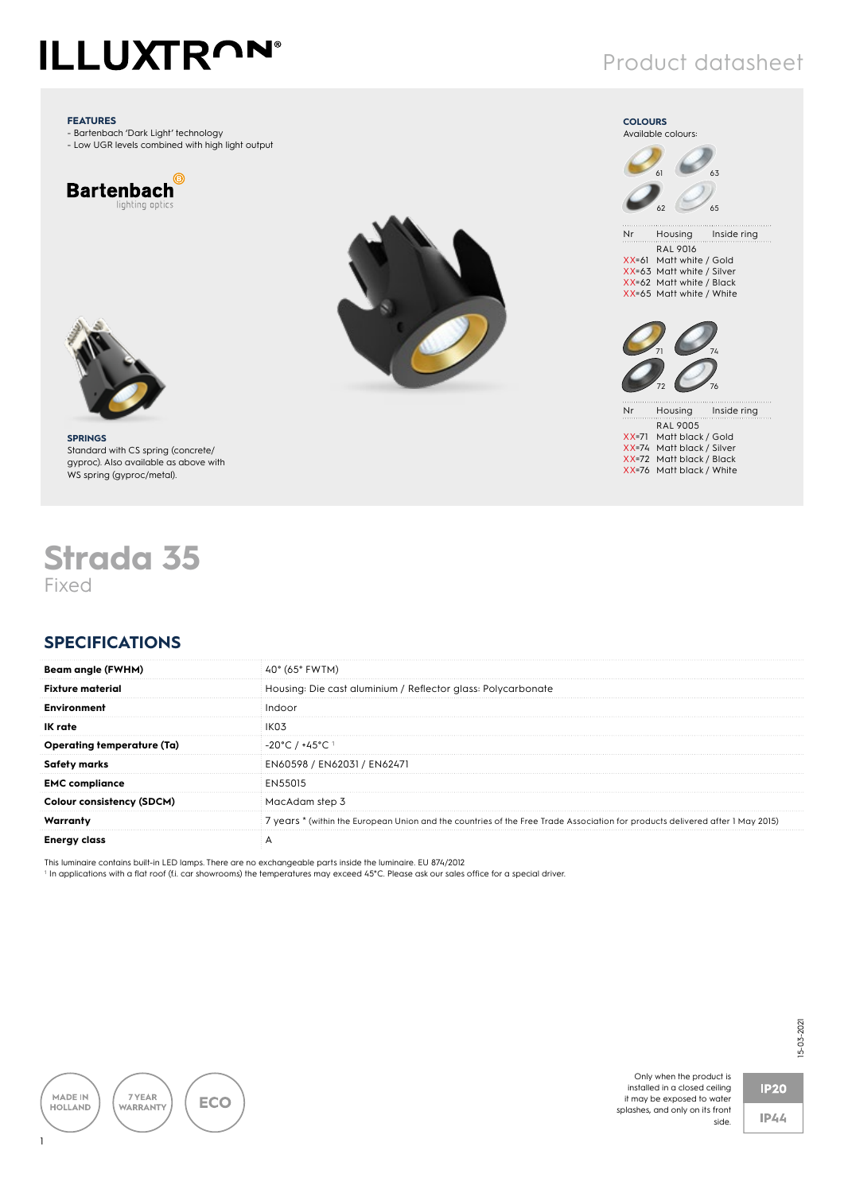# **ILLUXTRON®**

#### **FEATURES**

- Bartenbach 'Dark Light' technology - Low UGR levels combined with high light output







## Product datasheet



RAL 9016 XX=61 Matt white / Gold XX=63 Matt white / Silver XX=62 Matt white / Black XX=65 Matt white / White



Nr Housing Inside ring RAL 9005 XX=71 Matt black / Gold XX=74 Matt black / Silver XX=72 Matt black / Black XX=76 Matt black / White

**SPRINGS** Standard with CS spring (concrete/ gyproc). Also available as above with WS spring (gyproc/metal).

## **Strada 35** Fixed

### **SPECIFICATIONS**

| $40^{\circ}$ (65 $^{\circ}$ FWTM)                                                                                             |
|-------------------------------------------------------------------------------------------------------------------------------|
| Housing: Die cast aluminium / Reflector glass: Polycarbonate                                                                  |
| Indooi                                                                                                                        |
| IKO3                                                                                                                          |
| $-20^{\circ}$ C / $+45^{\circ}$ C 1                                                                                           |
| EN60598 / EN62031 / EN62471                                                                                                   |
| FN55015                                                                                                                       |
| MacAdam step 3                                                                                                                |
| 7 years * (within the European Union and the countries of the Free Trade Association for products delivered after 1 May 2015) |
|                                                                                                                               |
|                                                                                                                               |

This luminaire contains built-in LED lamps. There are no exchangeable parts inside the luminaire. EU 874/2012

1 In applications with a flat roof (f.i. car showrooms) the temperatures may exceed 45°C. Please ask our sales office for a special driver.



Only when the product is installed in a closed ceiling it may be exposed to water splashes, and only on its front



 $IP44$ 

side.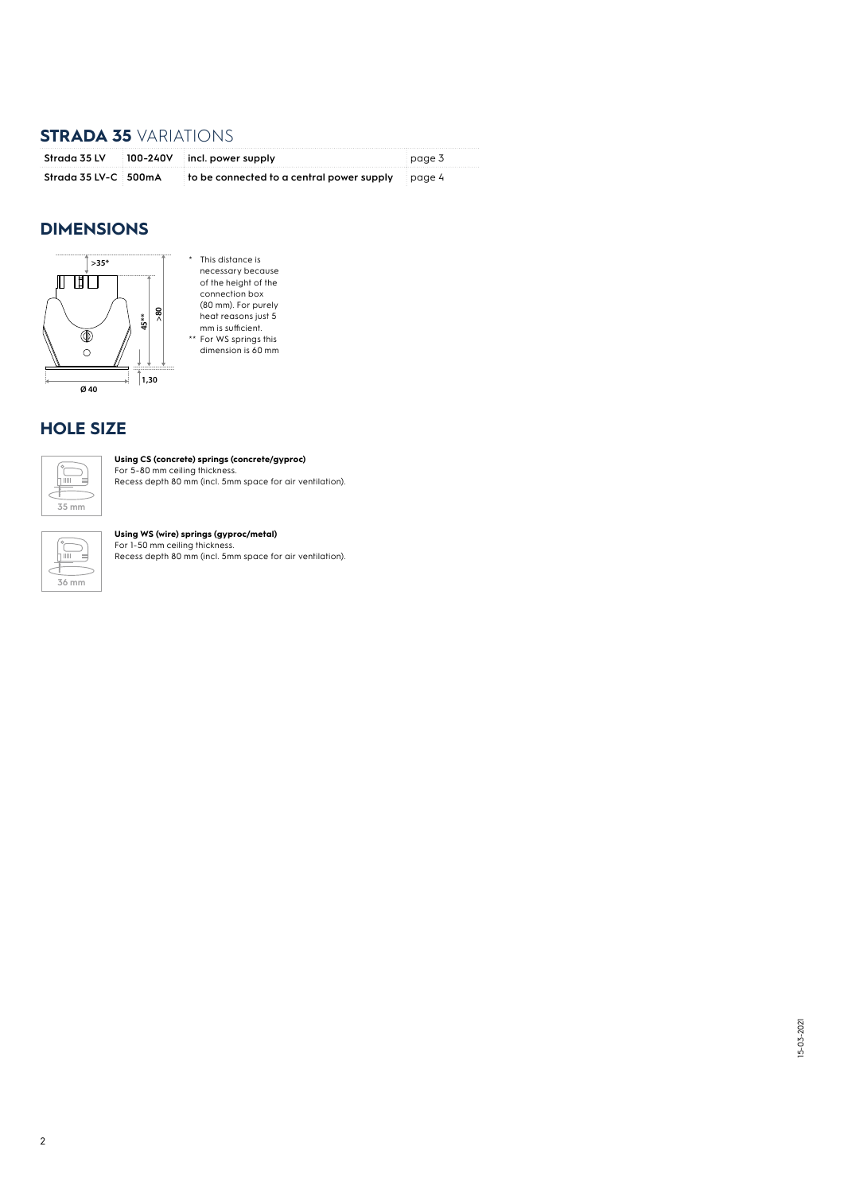#### **STRADA 35** VARIATIONS

|                      | Strada 35 LV 100-240V incl. power supply                       | page 3 |
|----------------------|----------------------------------------------------------------|--------|
| Strada 35 LV-C 500mA | to be connected to a central power supply $\frac{1}{2}$ page 4 |        |

#### **DIMENSIONS**



\* This distance is necessary because of the height of the connection box (80 mm). For purely heat reasons just 5 mm is sufficient. \*\* For WS springs this dimension is 60 mm

#### **HOLE SIZE**

![](_page_1_Figure_6.jpeg)

**Using CS (concrete) springs (concrete/gyproc)**<br>For 5-80 mm ceiling thickness.<br>Recess depth 80 mm (incl. 5mm space for air ventilation).

| Ш | 6 mm |
|---|------|
|---|------|

#### **Using WS (wire) springs (gyproc/metal)**<br>For 1-50 mm ceiling thickness.

Recess depth 80 mm (incl. 5mm space for air ventilation).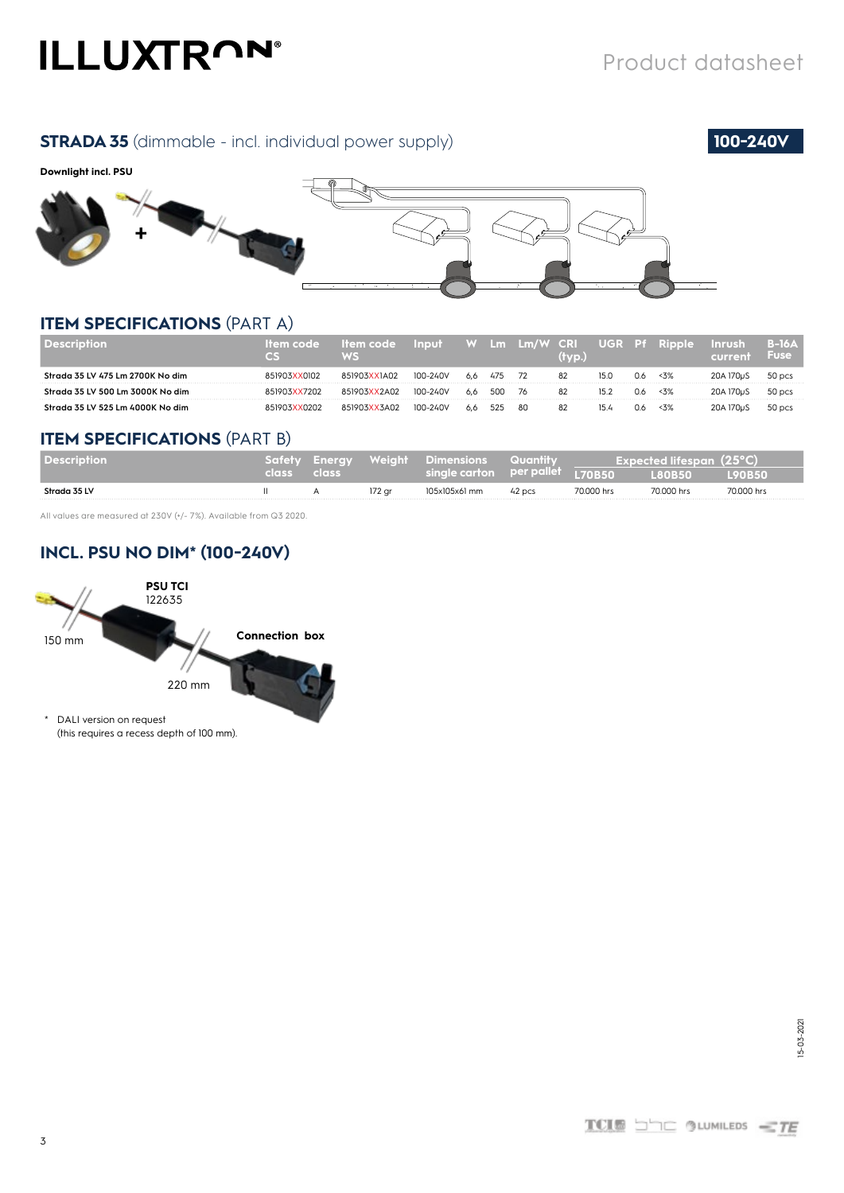# **ILLUXTRON®**

#### **STRADA 35** (dimmable - incl. individual power supply) **100-240V**

![](_page_2_Picture_3.jpeg)

#### **Downlight incl. PSU**

![](_page_2_Figure_5.jpeg)

#### **ITEM SPECIFICATIONS** (PART A)

|                                  | ek :         | ltem code /<br>WS | Input    |     | $\mathsf{L}\mathsf{m}$ | Lm/W CRI | (tvp.) |      |     | UGR Pf Ripple | Inrush<br>current      | B-16A<br><b>Fuse</b> |
|----------------------------------|--------------|-------------------|----------|-----|------------------------|----------|--------|------|-----|---------------|------------------------|----------------------|
| Strada 35 LV 475 Lm 2700K No dim | 851903XX0102 | 851903XX1A02      | 100-240V | 6.6 | 475                    |          | 82     | 15.C | 0.6 | $3\%$         | 20A 170uS              | 50 pcs               |
| Strada 35 LV 500 Lm 3000K No dim | 51903XX7202  | 851903XX2A02      | 100-240V | 6.6 | 500                    | 76       | 82     |      | U.G | < 3%          | 20A 170 <sub>u</sub> S | 50 pcs               |
| Strada 35 LV 525 Lm 4000K No dim | 51903XX0202  | 851903XX3A02      | 100-240V | 6.6 | 525                    | 80       | 82     | 15.4 | U.G | <3%           | 20A 170uS              | 50 pcs               |

#### **ITEM SPECIFICATIONS** (PART B)

| <b>Description</b> |             | Safety Enerav Weiaht Dimensions Quantity |                                 |        |            | Expected lifespan (25°C)         |               |
|--------------------|-------------|------------------------------------------|---------------------------------|--------|------------|----------------------------------|---------------|
|                    | class class |                                          | single carton per pallet L70B50 |        |            | $\overline{180}$ B <sub>50</sub> | <b>L90B50</b> |
| Strada 35 LV       | Ш.          | 172 ar                                   | 105x105x61 mm                   | 42 pcs | 70,000 hrs | 70.000 hrs                       | 70,000 hrs    |

All values are measured at 230V (+/- 7%). Available from Q3 2020.

#### **INCL. PSU NO DIM\* (100-240V)**

![](_page_2_Figure_12.jpeg)